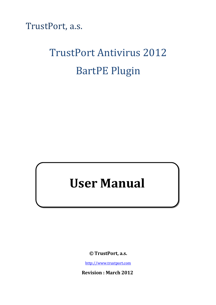TrustPort, a.s.

# TrustPort Antivirus 2012 BartPE Plugin

# **User Manual**

**© TrustPort, a.s.**

http://www.trustport.com

**Revision : March 2012**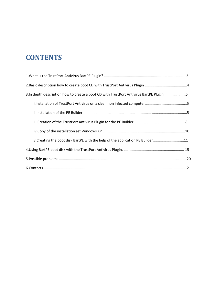# **CONTENTS**

| 3.In depth description how to create a boot CD with TrustPort Antivirus BartPE Plugin. 5 |
|------------------------------------------------------------------------------------------|
|                                                                                          |
|                                                                                          |
|                                                                                          |
|                                                                                          |
| v.Creating the boot disk BartPE with the help of the application PE Builder11            |
|                                                                                          |
|                                                                                          |
|                                                                                          |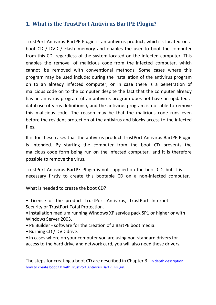## **1. What is the TrustPort Antivirus BartPE Plugin?**

TrustPort Antivirus BartPE Plugin is an antivirus product, which is located on a boot CD / DVD / Flash memory and enables the user to boot the computer from this CD, regardless of the system located on the infected computer. This enables the removal of malicious code from the infected computer, which cannot be removed with conventional methods. Some cases where this program may be used include; during the installation of the antivirus program on to an already infected computer, or in case there is a penetration of malicious code on to the computer despite the fact that the computer already has an antivirus program (if an antivirus program does not have an updated a database of virus definitions), and the antivirus program is not able to remove this malicious code. The reason may be that the malicious code runs even before the resident protection of the antivirus and blocks access to the infected files.

It is for these cases that the antivirus product TrustPort Antivirus BartPE Plugin is intended. By starting the computer from the boot CD prevents the malicious code form being run on the infected computer, and it is therefore possible to remove the virus.

TrustPort Antivirus BartPE Plugin is not supplied on the boot CD, but it is necessary firstly to create this bootable CD on a non-infected computer.

What is needed to create the boot CD?

- License of the product TrustPort Antivirus, TrustPort Internet Security or TrustPort Total Protection.
- Installation medium running Windows XP service pack SP1 or higher or with Windows Server 2003.
- PE Builder software for the creation of a BartPE boot media.
- Burning CD / DVD drive.
- In cases where on your computer you are using non-standard drivers for access to the hard drive and network card, you will also need these drivers.

The steps for creating a boot CD are described in Chapter 3. In depth description how to create boot CD with TrustPort Antivirus BartPE Plugin.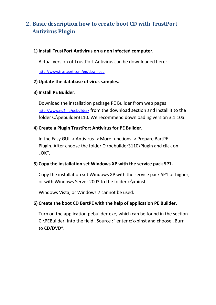# **2. Basic description how to create boot CD with TrustPort Antivirus Plugin**

#### **1) Install TrustPort Antivirus on a non infected computer.**

Actual version of TrustPort Antivirus can be downloaded here:

http://www.trustport.com/en/download

#### **2) Update the database of virus samples.**

#### **3) Install PE Builder.**

Download the installation package PE Builder from web pages http://www.nu2.nu/pebuilder/ from the download section and install it to the folder C:\pebuilder3110. We recommend downloading version 3.1.10a.

#### **4) Create a Plugin TrustPort Antivirus for PE Builder.**

In the Easy GUI -> Antivirus -> More functions -> Prepare BartPE Plugin. After choose the folder C:\pebuilder3110\Plugin and click on "OK".

#### **5) Copy the installation set Windows XP with the service pack SP1.**

Copy the installation set Windows XP with the service pack SP1 or higher, or with Windows Server 2003 to the folder c:\xpinst.

Windows Vista, or Windows 7 cannot be used.

#### **6) Create the boot CD BartPE with the help of application PE Builder.**

Turn on the application pebuilder.exe, which can be found in the section C:\PEBuilder. Into the field "Source :" enter c:\xpinst and choose "Burn to CD/DVD".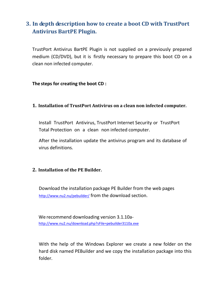# **3. In depth description how to create a boot CD with TrustPort Antivirus BartPE Plugin.**

TrustPort Antivirus BartPE Plugin is not supplied on a previously prepared medium (CD/DVD), but it is firstly necessary to prepare this boot CD on a clean non infected computer.

**The steps for creating the boot CD :**

#### **1. Installation of TrustPort Antivirus on a clean non infected computer.**

Install TrustPort Antivirus, TrustPort Internet Security or TrustPort Total Protection on a clean non infected computer.

After the installation update the antivirus program and its database of virus definitions.

#### **2. Installation of the PE Builder.**

Download the installation package PE Builder from the web pages http://www.nu2.nu/pebuilder/ from the download section.

We recommend downloading version 3.1.10ahttp://www.nu2.nu/download.php?sFile=pebuilder3110a.exe

With the help of the Windows Explorer we create a new folder on the hard disk named PEBuilder and we copy the installation package into this folder.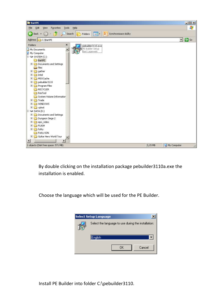

By double clicking on the installation package pebuilder3110a.exe the installation is enabled.

Choose the language which will be used for the PE Builder.



Install PE Builder into folder C:\pebuilder3110.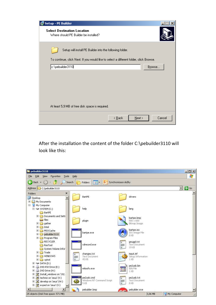| <b>Setup - PE Builder</b>                                                              |
|----------------------------------------------------------------------------------------|
| <b>Select Destination Location</b><br>Where should PE Builder be installed?            |
| Setup will install PE Builder into the following folder.                               |
| To continue, click Next. If you would like to select a different folder, click Browse. |
| c:\pebuilder3110<br>Browse                                                             |
|                                                                                        |
| At least 5,9 MB of free disk space is required.                                        |
| Cancel<br>$\leq$ $\underline{B}$ ack<br>$N$ ext >                                      |

After the installation the content of the folder C:\pebuilder3110 will look like this:

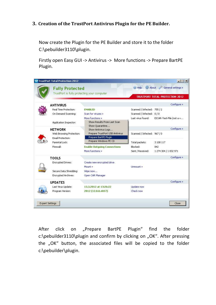#### **3. Creation of the TrustPort Antivirus Plugin for the PE Builder.**

Now create the Plugin for the PE Builder and store it to the folder C:\pebuilder3110\plugin.

Firstly open Easy GUI -> Antivirus -> More functions -> Prepare BartPE Plugin.

|                        | Te TrustPort Total Protection 2012                                    |                                                |                             | $ \Box$ $\times$ $\Box$                |
|------------------------|-----------------------------------------------------------------------|------------------------------------------------|-----------------------------|----------------------------------------|
|                        | <b>Fully Protected</b><br>TrustPort is fully protecting your computer |                                                | <b>C</b> Help               | About General settings »               |
|                        |                                                                       |                                                |                             | <b>TRUSTPORT TOTAL PROTECTION 2012</b> |
|                        | <b>ANTIVIRUS</b>                                                      |                                                |                             | Configure »                            |
|                        | Real Time Protection:                                                 | <b>ENABLED</b>                                 | Scanned / Infected: 755 / 2 |                                        |
|                        | On Demand Scanning:                                                   | Scan for viruses »                             | Scanned / Infected: 0 / 0   |                                        |
|                        |                                                                       | More functions »                               | Last virus found:           | EICAR-Test-File (not a v               |
|                        | Application Inspector:                                                | Show Results From Last Scan<br>Show Quarantine |                             |                                        |
|                        | <b>NETWORK</b>                                                        | Show Antivirus Logs                            |                             | Configure »                            |
|                        | Web Browsing Protection:                                              | Prepare TrustPort USB Antivirus                | Scanned / Infected: 967 / 0 |                                        |
|                        | Email Protection:                                                     | Prepare BartPE Plugin                          |                             |                                        |
|                        | Parental Lock:                                                        | Prepare Windows PE CD                          | Total packets:              | 3 108 117                              |
|                        | Firewall:                                                             | <b>Enable Outgoing Connections</b>             | Blocked:                    | 842                                    |
|                        |                                                                       | More functions »                               | Sent / Received:            | 1 274 304 / 1 832 971                  |
|                        | <b>TOOLS</b>                                                          |                                                |                             | Configure »                            |
|                        | Encrypted Drives:                                                     | Create new encrypted drive                     |                             |                                        |
|                        |                                                                       | Mount »                                        | Unmount »                   |                                        |
|                        | Secure Data Shredding:                                                | Wipe now                                       |                             |                                        |
|                        | Encrypted Archives:                                                   | Open CAR Manager                               |                             |                                        |
|                        | <b>UPDATES</b>                                                        |                                                |                             | Configure »                            |
|                        | Last Virus Update:                                                    | 13.3.2012 at 13:26:22                          | Update now                  |                                        |
|                        | Program Version:                                                      | 2012 (12.0.0.4857)                             | Check now                   |                                        |
| <b>Expert Settings</b> |                                                                       |                                                |                             | Close                                  |

After click on "Prepare BartPE Plugin" find the folder c:\pebuilder3110\plugin and confirm by clicking on "OK". After pressing the "OK" button, the associated files will be copied to the folder c:\pebuilder\plugin.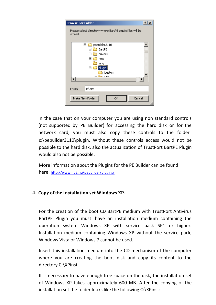| <b>Browse For Folder</b>                                             | $\overline{?}$ |
|----------------------------------------------------------------------|----------------|
| Please select directory where BartPE plugin files will be<br>stored. |                |
| pebuilder3110<br>$\Box$                                              | ▲              |
| BartPE<br>$\overline{\mathbf{H}}$                                    |                |
| drivers<br>$\overline{\mathbf{r}}$                                   |                |
| help<br>$\overline{\mathbf{H}}$                                      |                |
| lang                                                                 |                |
| plugin<br>E                                                          |                |
| !custom                                                              |                |
| ⊡<br>$-42$                                                           |                |
|                                                                      |                |
| plugin<br>Folder:                                                    |                |
| Make New Folder<br>Cancel<br>ОK                                      |                |

In the case that on your computer you are using non standard controls (not supported by PE Builder) for accessing the hard disk or for the network card, you must also copy these controls to the folder c:\pebuilder3110\plugin. Without these controls access would not be possible to the hard disk, also the actualization of TrustPort BartPE Plugin would also not be possible.

More information about the Plugins for the PE Builder can be found here: http://www.nu2.nu/pebuilder/plugins/

#### **4. Copy of the installation set Windows XP.**

For the creation of the boot CD BartPE medium with TrustPort Antivirus BartPE Plugin you must have an installation medium containing the operation system Windows XP with service pack SP1 or higher. Installation medium containing Windows XP without the service pack, Windows Vista or Windows 7 cannot be used.

Insert this installation medium into the CD mechanism of the computer where you are creating the boot disk and copy its content to the directory C:\XPinst.

It is necessary to have enough free space on the disk, the installation set of Windows XP takes approximately 600 MB. After the copying of the installation set the folder looks like the following C:\XPinst: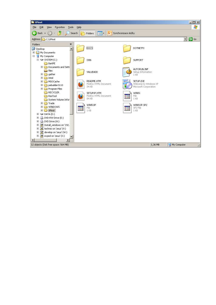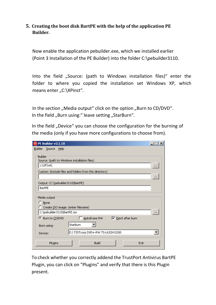#### **5. Creating the boot disk BartPE with the help of the application PE Builder.**

Now enable the application pebuilder.exe, which we installed earlier (Point 3 Installation of the PE Builder) into the folder C:\pebuilder3110.

Into the field "Source: (path to Windows installation files)" enter the folder to where you copied the installation set Windows XP, which means enter "C:\XPinst".

In the section "Media output" click on the option "Burn to CD/DVD". In the field "Burn using:" leave setting "StarBurn".

In the field "Device" you can choose the configuration for the burning of the media (only if you have more configurations to choose from).

| PE PE Builder v3.1.10                                                                                                                     |                      |
|-------------------------------------------------------------------------------------------------------------------------------------------|----------------------|
| Builder Source<br><b>Help</b>                                                                                                             |                      |
| Builder<br>Source: (path to Windows installation files)<br>c:\XP¦nst\<br>Custom: (include files and folders from this directory)          | $\cdots$<br>$\cdots$ |
| Output: (C:\pebuilder3110\BartPE)                                                                                                         |                      |
| BartPE                                                                                                                                    |                      |
| Media output<br>$\heartsuit$ None<br>C Create ISO image: (enter filename)                                                                 |                      |
| C:\pebuilder3110\BartPE.iso                                                                                                               | $\cdots$             |
| $\nabla$ Eject after burn<br>© Burn to CD/DVD<br>AutoErase RW<br>StarBurn<br>Burn using:<br>E:) TSSTcorp DVD+-RW TS-L632H D200<br>Device: |                      |
| Build<br>Plugins<br>Exit                                                                                                                  |                      |

To check whether you correctly addend the TrustPort Antivirus BartPE Plugin, you can click on "Plugins" and verify that there is this Plugin present.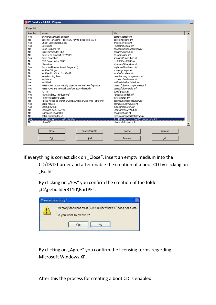|              | PE PE Builder v3.1.10 - Plugins                           | $\vert x \vert$                            |
|--------------|-----------------------------------------------------------|--------------------------------------------|
| Plugin list: |                                                           |                                            |
| Enabled      | Name                                                      | File<br>$\blacktriangle$                   |
| Yes          | BARTPE: Network Support                                   | bartpe\bartpe.inf                          |
| No.          | Boot Fix (Enabling "Press any key to boot from CD")       | bootfix\bootfix.inf                        |
| Yes          | Check Disk (chkdsk,exe)                                   | chkdsk\chkdsk.inf                          |
| Yes          | Customize                                                 | !custom\custom.inf                         |
| No           | Deep Burner Free                                          | deepburner\deepburner.inf                  |
| No           | Disk Commander v1.1                                       | dskcmd\dskcmd.inf                          |
| No.          | Dos 16-bit support for WinPE                              | dospe\Dospe.inf                            |
| Yes          | Drive SnapShot                                            | snapshot\snapshot.inf                      |
| No.          | ERD Commander 2002                                        | erd2002\erd2002.inf                        |
| No           | IrfanView                                                 | irfanview\irfanview.inf                    |
| Yes          | Keyboard Layout (read PluginHelp)                         | keyboard\keyboard.inf                      |
| No           | McAfee Stinger                                            | stinger\stinger.inf                        |
| No           | McAfee VirusScan for Win32                                | mcafee\mcafee.inf                          |
| No.          | Nero Burning Rom                                          | nero burning rom\penero.inf                |
| Yes          | Nu2Menu                                                   | nu2menu\nu2menu.inf                        |
| Yes          | Nu2Shell                                                  | zz5\nu2shell\nu2shell.inf                  |
| Yes          | PENETCFG: Automatically start PE Network configurator     | penetcfg\autorun-penetcfg.inf              |
| Yes          | PENETCFG: PE Network configurator (theTruth)              | penetcfg\penetcfg.inf                      |
| No.          | PuTTY                                                     | putty\putty.inf                            |
| Yes          | RAMDisk [Nu2 Productions]                                 | ramdisk\ramdisk.inf                        |
| Yes          | Remote Desktop Client                                     | mstsc\mstsc.inf                            |
| No.          | RpcSS needs to launch DComLaunch Service first - SP2 only | dcomlaunch\dcomlaunch.inf                  |
| Yes          | Serial Mouse                                              | sermouse\sermouse.inf                      |
| Yes          | Startup Group                                             | autorun\autorun.inf                        |
| No.          | StarWind iSCSI Server                                     | StarWind\StarWind.inf                      |
| No.          | Symantec Ghost 8.0                                        | ghost8\ghost.inf                           |
| No.          | Total Commander v6                                        | total commander\totalcmd.inf               |
| <b>Yes</b>   | TrustPort Antivirus with Updater                          | TrustPort Antivirus BartPE plugin\tpav.inf |
| No.          | <b>UltraVNC</b>                                           | ultravnclultravnc.inf                      |
|              |                                                           |                                            |
|              | Enable/Disable<br>Close                                   | Config<br>Refresh                          |
|              | Add<br>Edit                                               | Help<br>Remove                             |

If everything is correct click on "Close", insert an empty medium into the

CD/DVD burner and after enable the creation of a boot CD by clicking on "Build".

By clicking on "Yes" you confirm the creation of the folder "C:\pebuilder3110\BartPE".



By clicking on "Agree" you confirm the licensing terms regarding Microsoft Windows XP.

After this the process for creating a boot CD is enabled.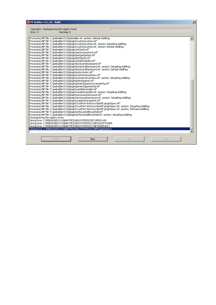| PE PE Builder v3.1.10 - Build                                                                                                                                                                                                                                                                                                                                                                                                                                                                                                                                                                                                                                                                                                                                                                                                                                                                                                                                                                                                                                                                                                                                                                                                                                                                                                                                                                                                                                                                                                                                                                                                                                                                                                                                                                                                                                                                                                                                                                                                                                                                                                                                                                                                                                                                                                                                                                                                                                                                                                                                                                                                                                                        | $\vert x \vert$ |
|--------------------------------------------------------------------------------------------------------------------------------------------------------------------------------------------------------------------------------------------------------------------------------------------------------------------------------------------------------------------------------------------------------------------------------------------------------------------------------------------------------------------------------------------------------------------------------------------------------------------------------------------------------------------------------------------------------------------------------------------------------------------------------------------------------------------------------------------------------------------------------------------------------------------------------------------------------------------------------------------------------------------------------------------------------------------------------------------------------------------------------------------------------------------------------------------------------------------------------------------------------------------------------------------------------------------------------------------------------------------------------------------------------------------------------------------------------------------------------------------------------------------------------------------------------------------------------------------------------------------------------------------------------------------------------------------------------------------------------------------------------------------------------------------------------------------------------------------------------------------------------------------------------------------------------------------------------------------------------------------------------------------------------------------------------------------------------------------------------------------------------------------------------------------------------------------------------------------------------------------------------------------------------------------------------------------------------------------------------------------------------------------------------------------------------------------------------------------------------------------------------------------------------------------------------------------------------------------------------------------------------------------------------------------------------------|-----------------|
| Operation: Closing/saving the registry hives<br>Error: 0<br>Warning: 0                                                                                                                                                                                                                                                                                                                                                                                                                                                                                                                                                                                                                                                                                                                                                                                                                                                                                                                                                                                                                                                                                                                                                                                                                                                                                                                                                                                                                                                                                                                                                                                                                                                                                                                                                                                                                                                                                                                                                                                                                                                                                                                                                                                                                                                                                                                                                                                                                                                                                                                                                                                                               |                 |
| Processing INF file: C:\pebuilder3110\pebuilder.inf. section: Default.AddReg<br>Processing INF file "C:\pebuilder3110\plugin\!custom\custom.inf"<br>Processing INF file: C:\pebuilder3110\plugin\!custom\custom.inf. section: SetupReg.AddReg<br>Processing INF file: C:\pebuilder3110\plugin\!custom\custom.inf. section: Default.AddReg<br>Processing INF file "C:\pebuilder3110\plugin\a43\a43.inf"<br>Processing INF file "C:\pebuilder3110\plugin\autorun\autorun.inf"<br>Processing INF file "C:\pebuilder3110\plugin\bartpe\bartpe.inf"<br>Processing INF file "C:\pebuilder3110\plugin\bst5\bst5.inf"<br>Processing INF file "C:\pebuilder3110\plugin\chkdsk\chkdsk.inf"<br>Processing INF file "C:\pebuilder3110\plugin\keyboard\keyboard.inf"<br>Processing INF file: C:\pebuilder3110\plugin\keyboard\keyboard.inf. section: SetupReq.AddReq<br>Processing INF file: C:\pebuilder3110\plugin\keyboard\keyboard.inf. section: Default.AddReg<br>Processing INF file "C:\pebuilder3110\plugin\mstsc\mstsc.inf"<br>Processing INF file "C:\pebuilder3110\plugin\nu2menu\nu2menu.inf"<br>Processing INF file: C:\pebuilder3110\plugin\nu2menu\nu2menu.inf. section: SetupReg.AddReg<br>Processing INF file "C:\pebuilder3110\plugin\peinst\peinst.inf"<br>Processing INF file "C:\pebuilder3110\plugin\penetcfg\autorun-penetcfg.inf"<br>Processing INF file "C:\pebuilder3110\plugin\penetcfg\penetcfg.inf"<br>Processing INF file "C:\pebuilder3110\plugin\ramdisk\ramdisk.inf"<br>Processing INF file: C:\pebuilder3110\plugin\ramdisk\ramdisk.inf. section: SetupReg.AddReg<br>Processing INF file "C:\pebuilder3110\plugin\sermouse\sermouse.inf"<br>Processing INF file: C:\pebuilder3110\plugin\sermouse\sermouse.inf. section: SetupReg.AddReg<br>Processing INF file "C:\pebuilder3110\plugin\snapshot\snapshot.inf"<br>Processing INF file "C:\pebuilder3110\plugin\TrustPort Antivirus BartPE plugin\tpay.inf"<br>Processing INF file: C:\pebuilder3110\plugin\TrustPort Antivirus BartPE plugin\tpav.inf. section: SetupReg.AddReg<br>Processing INF file: C:\pebuilder3110\plugin\TrustPort Antivirus BartPE plugin\tpav.inf. section: Software.AddReg<br>Processing INF file "C:\pebuilder3110\plugin\zz5\nu2shell\nu2shell.inf"<br>Processing INF file: C:\pebuilder3110\plugin\zz5\nu2shell\nu2shell.inf. section: SetupReg.AddReg<br>Closing/saving the registry hives<br>Saving hive: C:\PEBUILDER3110\BARTPE\I386\SYSTEM32\SETUPREG.HIV<br>Saving hive: C:\PEBUILDER3110\BARTPE\I386\SYSTEM32\CONFIG\SOFTWARE<br>Saving hive: C:\PEBUILDER3110\BARTPE\I386\SYSTEM32\CONFIG\DEFAULT<br>Closing hive: C:\PEBUILDER3110\BARTPE\I386\SYSTEM32\CONFIG\petmphive |                 |
| Close<br>Stop<br>$<<$<br>>                                                                                                                                                                                                                                                                                                                                                                                                                                                                                                                                                                                                                                                                                                                                                                                                                                                                                                                                                                                                                                                                                                                                                                                                                                                                                                                                                                                                                                                                                                                                                                                                                                                                                                                                                                                                                                                                                                                                                                                                                                                                                                                                                                                                                                                                                                                                                                                                                                                                                                                                                                                                                                                           |                 |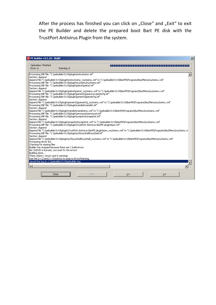After the process has finished you can click on "Close" and "Exit" to exit the PE Builder and delete the prepared boot Bart PE disk with the TrustPort Antivirus Plugin from the system.

| PE PE Builder v3.1.10 - Build<br>$\vert x \vert$                                                                                                                                                                                                                                                                                                                                                                                                                                                                                                                                                                                                                                                                                                                                                                                                                                                                                                                                                                                                                                                                                                                                                                                                                                                                                                                                                                                                                                                                                                                                                                                                                                                                                                                                                                                                                                                                                                                                                                                                                                                                                                                                                       |
|--------------------------------------------------------------------------------------------------------------------------------------------------------------------------------------------------------------------------------------------------------------------------------------------------------------------------------------------------------------------------------------------------------------------------------------------------------------------------------------------------------------------------------------------------------------------------------------------------------------------------------------------------------------------------------------------------------------------------------------------------------------------------------------------------------------------------------------------------------------------------------------------------------------------------------------------------------------------------------------------------------------------------------------------------------------------------------------------------------------------------------------------------------------------------------------------------------------------------------------------------------------------------------------------------------------------------------------------------------------------------------------------------------------------------------------------------------------------------------------------------------------------------------------------------------------------------------------------------------------------------------------------------------------------------------------------------------------------------------------------------------------------------------------------------------------------------------------------------------------------------------------------------------------------------------------------------------------------------------------------------------------------------------------------------------------------------------------------------------------------------------------------------------------------------------------------------------|
| Operation: Finished<br>Warning: 0<br>Error: 0                                                                                                                                                                                                                                                                                                                                                                                                                                                                                                                                                                                                                                                                                                                                                                                                                                                                                                                                                                                                                                                                                                                                                                                                                                                                                                                                                                                                                                                                                                                                                                                                                                                                                                                                                                                                                                                                                                                                                                                                                                                                                                                                                          |
| Processing INF file: "C:\pebuilder3110\plugin\mstsc\mstsc.inf"<br>Section: Append<br>Append file "C:\pebuilder3110\plugin\mstsc\mstsc_nu2menu.xml" to "C:\pebuilder3110\BartPE\Programs\Nu2Menu\nu2menu.xml"<br>Processing INF file: "C:\pebuilder3110\plugin\nu2menu\nu2menu.inf"<br>Processing INF file: "C:\pebuilder3110\plugin\peinst\peinst.inf"<br>Section: Append<br>Append file "C:\pebuilder3110\plugin\peinst\peinst_nu2menu.xml" to "C:\pebuilder3110\BartPE\Programs\Nu2Menu\nu2menu.xml"<br>Processing INF file: "C:\pebuilder3110\plugin\penetcfg\autorun-penetcfg.inf"<br>Processing INF file: "C:\pebuilder3110\plugin\penetcfg\penetcfg.inf"<br>Section: Append<br>Append file "C:\pebuilder3110\plugin\penetcfq\penetcfg_nu2menu.xml" to "C:\pebuilder3110\BartPE\Programs\Nu2Menu\nu2menu.xml"<br>Processing INF file: "C:\pebuilder3110\plugin\ramdisk\ramdisk.inf"<br>Section: Append<br>"Append file "C:\pebuilder3110\plugin\ramdisk\ramdmenu.xml" to "C:\pebuilder3110\BartPE\Programs\Nu2Menu\nu2menu.xml<br>Processing INF file: "C:\pebuilder3110\plugin\sermouse\sermouse.inf"<br>Processing INF file: "C:\pebuilder3110\plugin\snapshot\snapshot.inf"<br>Section: Append<br>"Append file "C:\pebuilder3110\plugin\snapshot\snapshot.xml" to "C:\pebuilder3110\BartPE\Programs\Nu2Menu\nu2menu.xml<br>Processing INF file: "C:\pebuilder3110\plugin\TrustPort Antivirus BartPE plugin\tpay.inf"<br>Section: Append<br>Append file "C:\pebuilder3110\pluqin\TrustPort Antivirus BartPE pluqin\tpav_nu2menu.xml" to "C:\pebuilder3110\BartPE\Programs\Nu2Menu\nu2menu.xrl<br>Processing INF file: "C:\pebuilder3110\plugin\zz5\nu2shell\nu2shell.inf"<br>Section: Append<br>Append file "C;\pebuilder3110\plugin\zz5\nu2shell\nu2shell_nu2menu.xml" to "C;\pebuilder3110\BartPE\Programs\Nu2Menu\nu2menu.xml"<br>Processing driver IDs<br>Checking for missing files<br>Builder has stopped because there are 1 build errors<br>No CD/DVD is burned, you must fix the errors!<br>Building done<br>There where 1 errors and 0 warnings<br>Use the $[<<]$ and $[>>]$ buttons to jump to Error/Warning.<br>Saved this log to: C:\pebuilder3110\pebuilder.log<br>$\blacksquare$ |
| Close<br>Stop<br>≤<<br>>>                                                                                                                                                                                                                                                                                                                                                                                                                                                                                                                                                                                                                                                                                                                                                                                                                                                                                                                                                                                                                                                                                                                                                                                                                                                                                                                                                                                                                                                                                                                                                                                                                                                                                                                                                                                                                                                                                                                                                                                                                                                                                                                                                                              |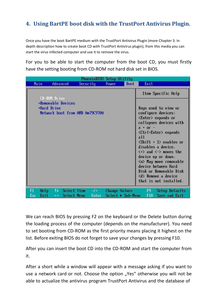# **4. Using BartPE boot disk with the TrustPort Antivirus Plugin.**

Once you have the boot BartPE medium with the TrustPort Antivirus Plugin (more Chapter 3. In depth description how to create boot CD with TrustPort Antivirus plugin), from this media you can start the virus infected computer and use it to remove the virus.

For you to be able to start the computer from the boot CD, you must firstly have the setting booting from CD-ROM not hard disk set in BIOS.

|            |                   |                                                       | PhoenixBIOS Setup Utility       |       |                                           |                                                                                                                                                                                                                                                                                                                                                                                                                                                                                                                                   |
|------------|-------------------|-------------------------------------------------------|---------------------------------|-------|-------------------------------------------|-----------------------------------------------------------------------------------------------------------------------------------------------------------------------------------------------------------------------------------------------------------------------------------------------------------------------------------------------------------------------------------------------------------------------------------------------------------------------------------------------------------------------------------|
|            | Main              | Advanced                                              | Security                        | Power | Boot                                      | Exit                                                                                                                                                                                                                                                                                                                                                                                                                                                                                                                              |
|            | CD-ROM Drive      |                                                       |                                 |       |                                           | Item Specific Help                                                                                                                                                                                                                                                                                                                                                                                                                                                                                                                |
|            | <b>Hard Drive</b> | *Removable Devices                                    | Network boot from AMD Am79C970A |       |                                           | Keys used to view or<br>configure devices:<br><enter> expands or<br/>collapses devices with<br/><math>a + or -</math><br/><ctrl+enter> expands<br/>all<br/><math>\langle</math>Shift + 1&gt; enables or<br/>disables a device.<br/><math>\langle \cdot \rangle</math> and <math>\langle \cdot \rangle</math> moves the<br/>device up or down.<br/>≺n&gt; May move removable<br/>device between Hard<br/>Disk or Removable Disk<br/><math>\langle d \rangle</math> Remove a device<br/>that is not installed.</ctrl+enter></enter> |
| F1<br>Esc. | Help<br>Exit      | 11<br>Select Item<br>Select Menu<br>$\leftrightarrow$ | $-1+$<br>Enter                  |       | <b>Change Values</b><br>Select > Sub-Menu | F9<br>Setup Defaults<br>Save and Exit<br>F10                                                                                                                                                                                                                                                                                                                                                                                                                                                                                      |

We can reach BIOS by pressing F2 on the keyboard or the Delete button during the loading process of the computer (depends on the manufacturer). You need to set booting from CD-ROM as the first priority means placing it highest on the list. Before exiting BIOS do not forget to save your changes by pressing F10.

After you can insert the boot CD into the CD-ROM and start the computer from it.

After a short while a window will appear with a message asking if you want to use a network card or not. Choose the option "Yes" otherwise you will not be able to actualize the antivirus program TrustPort Antivirus and the database of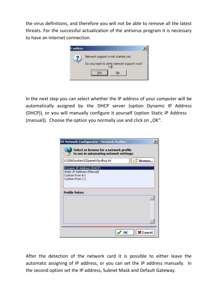the virus definitions, and therefore you will not be able to remove all the latest threats. For the successful actualization of the antivirus program it is necessary to have an internet connection.



In the next step you can select whether the IP address of your computer will be automatically assigned by the DHCP server (option Dynamic IP Address (DHCP)), or you will manually configure it yourself (option Static IP Address (manual)). Choose the option you normally use and click on  $n$ OK".

| Dynamic IP Address (DHCP) |                            |  |
|---------------------------|----------------------------|--|
|                           |                            |  |
|                           |                            |  |
|                           |                            |  |
|                           |                            |  |
|                           |                            |  |
|                           |                            |  |
|                           |                            |  |
|                           |                            |  |
|                           | Static IP Address (Manual) |  |

After the detection of the network card it is possible to either leave the automatic assigning of IP address, or you can set the IP address manually. In the second option set the IP address, Subnet Mask and Default Gateway.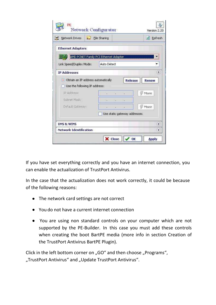| Network Drives                       |                               | File Sharing                          |    |                              |                          | a Refresh |
|--------------------------------------|-------------------------------|---------------------------------------|----|------------------------------|--------------------------|-----------|
| <b>Ethernet Adapters</b>             |                               |                                       |    |                              |                          |           |
|                                      |                               | AMD PCNET Family PCI Ethernet Adapter |    |                              |                          |           |
| Link Speed/Duplex Mode:              |                               | <b>Auto Detect</b>                    |    |                              |                          |           |
| <b>IP Addresses</b>                  |                               |                                       |    |                              |                          | 公         |
| · Obtain an IP address automatically |                               |                                       |    | Release                      | <b>Renew</b>             |           |
| Use the following IP address:        |                               |                                       |    |                              |                          |           |
| IP Address:                          |                               | E                                     | Ιü | $\mathbb{E}$                 | <b>Wore</b>              |           |
| Subnet Mask:                         |                               |                                       |    |                              |                          |           |
| Default Gateway:                     |                               | H.                                    |    |                              | <b><sup>∉</sup></b> More |           |
|                                      |                               |                                       |    | Use static gateway addresses |                          |           |
| DNS & WINS                           |                               |                                       |    |                              |                          | ¥         |
|                                      | <b>Network Identification</b> |                                       |    |                              |                          | ¥         |

If you have set everything correctly and you have an internet connection, you can enable the actualization of TrustPort Antivirus.

In the case that the actualization does not work correctly, it could be because of the following reasons:

- The network card settings are not correct
- You do not have a current internet connection
- You are using non standard controls on your computer which are not supported by the PE-Builder. In this case you must add these controls when creating the boot BartPE media (more info in section Creation of the TrustPort Antivirus BartPE Plugin).

Click in the left bottom corner on "GO" and then choose "Programs", "TrustPort Antivirus" and "Update TrustPort Antivirus".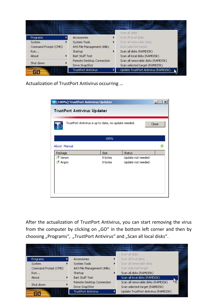|                      | <b>Accessories</b>                          | Scan all disks<br>Scan all local disks                               |
|----------------------|---------------------------------------------|----------------------------------------------------------------------|
| Programs<br>System   | System Tools                                | Scan all removable disks                                             |
| Command Prompt (CMD) | A43 File Management Utility                 | Scan selected target                                                 |
| <b>Run</b>           | Startup                                     | Scan all disks (RAMDISK)                                             |
| About                | Bart Stuff Test                             | Scan all local disks (RAMDISK).                                      |
| Shut down            | Remote Desktop Connection<br>Drive SnapShot | Scan all removable disks (RAMDISK)<br>Scan selected target (RAMDISK) |
|                      | <b>TrustPort Antivirus</b>                  | Update TrustPort Antivirus (RAMDISK)                                 |

Actualization of TrustPort Antivirus occurring …

| <b>17</b> [100%] TrustPort Antivirus Updater         |         |                   | $\Box$<br>x <sub>1</sub> |
|------------------------------------------------------|---------|-------------------|--------------------------|
| TrustPort Antivirus Updater                          |         |                   |                          |
| TrustPort Antivirus is up to date, no update needed. |         |                   | Close                    |
|                                                      | 100%    |                   |                          |
| About Manual                                         |         |                   |                          |
| Package                                              | Size    | Status            |                          |
| Xenon                                                | 0 bytes | Update not needed |                          |
| Argon                                                | 0 bytes | Update not needed |                          |
|                                                      |         |                   |                          |

After the actualization of TrustPort Antivirus, you can start removing the virus from the computer by clicking on "GO" in the bottom left corner and then by choosing "Programs", "TrustPort Antivirus" and "Scan all local disks".

| Programs             | Accessories                                 | Scan all disks<br>Scan all local disks                                             |
|----------------------|---------------------------------------------|------------------------------------------------------------------------------------|
| System               | System Tools                                | Scan all removable disks                                                           |
| Command Prompt (CMD) | A43 File Management Utility                 | Scan selected target                                                               |
| <b>Run</b>           | Startup                                     | Scan all disks (RAMDISK)                                                           |
| About                | Bart Stuff Test                             | Scan all local disks (RAMDISK)                                                     |
| Shut down            | Remote Desktop Connection<br>Drive SnapShot | <b>IAS</b><br>Scan all removable disks (RAMDISK)<br>Scan selected target (RAMDISK) |
|                      | <b>TrustPort Antivirus</b>                  | Update TrustPort Antivirus (RAMDISK)                                               |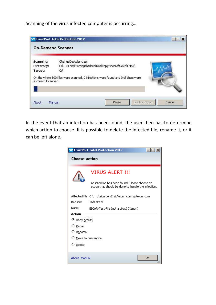Scanning of the virus infected computer is occurring…

|                                    | <b>12 TrustPort Total Protection 2012</b>                                              | $ \Box$ $\times$ |
|------------------------------------|----------------------------------------------------------------------------------------|------------------|
| <b>On-Demand Scanner</b>           |                                                                                        |                  |
| Scanning:<br>Directory:<br>Target: | CRangeDecoder.class<br>C:\ts and Settings\Admin\Desktop\Minecraft.exe\LZMA\<br>$C_{i}$ |                  |
| successfully solved.               | On the whole 500 files were scanned, 0 infections were found and 0 of them were        |                  |
| Manual<br>About                    | Display Report<br>Pause                                                                | Cancel           |

In the event that an infection has been found, the user then has to determine which action to choose. It is possible to delete the infected file, rename it, or it can be left alone.

|                      | <b>P</b> TrustPort Total Protection 2012                                                                                       |  |  |  |  |
|----------------------|--------------------------------------------------------------------------------------------------------------------------------|--|--|--|--|
|                      | Choose action                                                                                                                  |  |  |  |  |
|                      | <b>VIRUS ALERT !!!</b><br>An infection has been found. Please choose an<br>action that should be done to handle the infection. |  |  |  |  |
| Reason:              | Affected file: C:\p\eicarcom2.zip\eicar_com.zip\eicar.com<br><b>Infected!</b>                                                  |  |  |  |  |
| Name:<br>Action      | EICAR-Test-File (not a virus) (Xenon)                                                                                          |  |  |  |  |
| ⊙ Deny access!       |                                                                                                                                |  |  |  |  |
| ○ <u>R</u> epair     |                                                                                                                                |  |  |  |  |
| ○ R <u>e</u> name    |                                                                                                                                |  |  |  |  |
| ○ Move to quarantine |                                                                                                                                |  |  |  |  |
| $\circ$ Delete       |                                                                                                                                |  |  |  |  |
| About Manual         | ОK                                                                                                                             |  |  |  |  |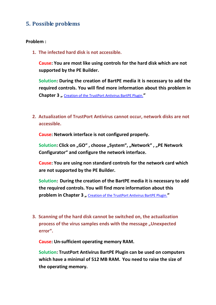### **5. Possible problems**

#### **Problem :**

**1. The infected hard disk is not accessible.**

**Cause: You are most like using controls for the hard disk which are not supported by the PE Builder.**

**Solution: During the creation of BartPE media it is necessary to add the required controls. You will find more information about this problem in Chapter 3** , Creation of the TrustPort Antivirus BartPE Plugin.<sup>"</sup>

**2. Actualization of TrustPort Antivirus cannot occur, network disks are not accessible.**

**Cause: Network interface is not configured properly.**

Solution: Click on "GO", choose "System", "Network", "PE Network **Configurator" and configure the network interface.**

**Cause: You are using non standard controls for the network card which are not supported by the PE Builder.**

**Solution: During the creation of the BartPE media it is necessary to add the required controls. You will find more information about this**  problem in Chapter 3, Creation of the TrustPort Antivirus BartPE Plugin.<sup>"</sup>

**3. Scanning of the hard disk cannot be switched on, the actualization**  process of the virus samples ends with the message "Unexpected **error".**

**Cause: Un-sufficient operating memory RAM.**

**Solution: TrustPort Antivirus BartPE Plugin can be used on computers which have a minimal of 512 MB RAM. You need to raise the size of the operating memory.**